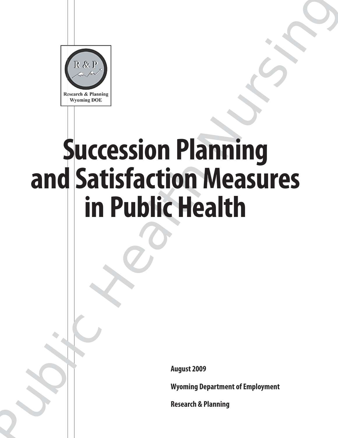

# Succession Planning<br>
and Satisfaction Measures<br>
in Public Health<br>
Magnet 2009<br>
Nugue: 2009<br>
Nugue: 2009<br>
Nugue: 2009<br>
Nugue: 2009<br>
Nugue: 2009<br>
Nugue: 2009<br>
Nugue: 2009<br>
Nugue: 2009<br>
Nugue: 2009<br>
Nugue: 2009<br>
Nugue: 2009<br> **Succession Planning and Satisfaction Measures in Public Health**

**August 2009**

**Wyoming Department of Employment**

**Research & Planning**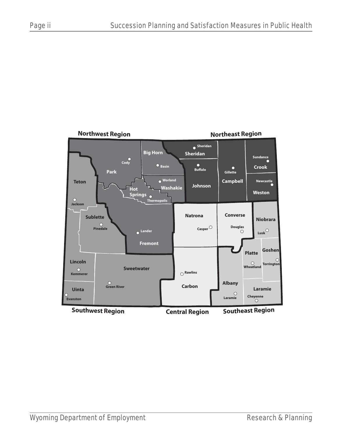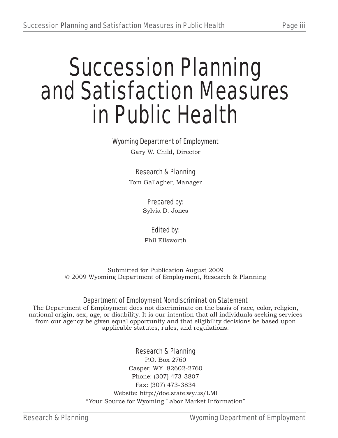# Succession Planning and Satisfaction Measures in Public Health

### Wyoming Department of Employment

Gary W. Child, Director

### Research & Planning

Tom Gallagher, Manager

### Prepared by:

Sylvia D. Jones

### Edited by:

Phil Ellsworth

Submitted for Publication August 2009 © 2009 Wyoming Department of Employment, Research & Planning

### Department of Employment Nondiscrimination Statement

The Department of Employment does not discriminate on the basis of race, color, religion, national origin, sex, age, or disability. It is our intention that all individuals seeking services from our agency be given equal opportunity and that eligibility decisions be based upon applicable statutes, rules, and regulations.

### Research & Planning

P.O. Box 2760 Casper, WY 82602-2760 Phone: (307) 473-3807 Fax: (307) 473-3834 Website: http://doe.state.wy.us/LMI "Your Source for Wyoming Labor Market Information"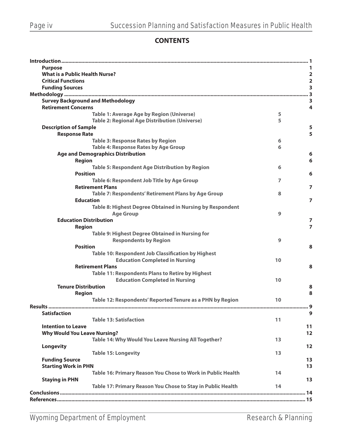### **CONTENTS**

| <b>Purpose</b>                                              |    |                         |
|-------------------------------------------------------------|----|-------------------------|
| <b>What is a Public Health Nurse?</b>                       |    | $\overline{\mathbf{2}}$ |
| <b>Critical Functions</b>                                   |    | $\overline{\mathbf{2}}$ |
| <b>Funding Sources</b>                                      |    | $\overline{\mathbf{3}}$ |
|                                                             |    | $\overline{\mathbf{3}}$ |
| <b>Survey Background and Methodology</b>                    |    | 3                       |
| <b>Retirement Concerns</b>                                  |    | $\overline{4}$          |
| <b>Table 1: Average Age by Region (Universe)</b>            | 5  |                         |
| <b>Table 2: Regional Age Distribution (Universe)</b>        | 5  |                         |
| <b>Description of Sample</b>                                |    | 5                       |
| <b>Response Rate</b>                                        |    | 5                       |
| <b>Table 3: Response Rates by Region</b>                    | 6  |                         |
| <b>Table 4: Response Rates by Age Group</b>                 | 6  |                         |
| <b>Age and Demographics Distribution</b>                    |    | 6                       |
| <b>Region</b>                                               |    | 6                       |
| <b>Table 5: Respondent Age Distribution by Region</b>       | 6  |                         |
| <b>Position</b>                                             |    | 6                       |
| Table 6: Respondent Job Title by Age Group                  | 7  |                         |
| <b>Retirement Plans</b>                                     |    | $\overline{7}$          |
| Table 7: Respondents' Retirement Plans by Age Group         | 8  |                         |
| <b>Education</b>                                            |    | 7                       |
| Table 8: Highest Degree Obtained in Nursing by Respondent   |    |                         |
| <b>Age Group</b>                                            | 9  |                         |
| <b>Education Distribution</b>                               |    | 7                       |
| <b>Region</b>                                               |    | $\overline{7}$          |
| Table 9: Highest Degree Obtained in Nursing for             |    |                         |
| <b>Respondents by Region</b>                                | 9  |                         |
| <b>Position</b>                                             |    | 8                       |
| Table 10: Respondent Job Classification by Highest          |    |                         |
| <b>Education Completed in Nursing</b>                       | 10 |                         |
| <b>Retirement Plans</b>                                     |    | 8                       |
| Table 11: Respondents Plans to Retire by Highest            |    |                         |
| <b>Education Completed in Nursing</b>                       | 10 |                         |
| <b>Tenure Distribution</b>                                  |    | 8                       |
| <b>Region</b>                                               |    | 8                       |
| Table 12: Respondents' Reported Tenure as a PHN by Region   | 10 |                         |
|                                                             |    |                         |
| <b>Satisfaction</b>                                         |    | 9                       |
| <b>Table 13: Satisfaction</b>                               | 11 |                         |
| <b>Intention to Leave</b>                                   |    | 11                      |
| <b>Why Would You Leave Nursing?</b>                         |    | 12                      |
| Table 14: Why Would You Leave Nursing All Together?         | 13 |                         |
| <b>Longevity</b>                                            |    | 12                      |
| <b>Table 15: Longevity</b>                                  | 13 |                         |
| <b>Funding Source</b>                                       |    | 13                      |
| <b>Starting Work in PHN</b>                                 |    | 13                      |
| Table 16: Primary Reason You Chose to Work in Public Health | 14 |                         |
| <b>Staying in PHN</b>                                       |    | 13                      |
| Table 17: Primary Reason You Chose to Stay in Public Health | 14 |                         |
|                                                             |    |                         |
|                                                             |    |                         |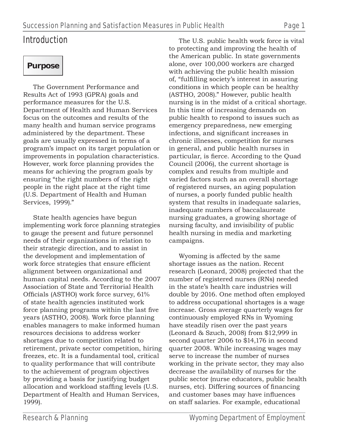## Introduction

## **Purpose**

The Government Performance and Results Act of 1993 (GPRA) goals and performance measures for the U.S. Department of Health and Human Services focus on the outcomes and results of the many health and human service programs administered by the department. These goals are usually expressed in terms of a program's impact on its target population or improvements in population characteristics. However, work force planning provides the means for achieving the program goals by ensuring "the right numbers of the right people in the right place at the right time (U.S. Department of Health and Human Services, 1999)."

State health agencies have begun implementing work force planning strategies to gauge the present and future personnel needs of their organizations in relation to their strategic direction, and to assist in the development and implementation of work force strategies that ensure efficient alignment between organizational and human capital needs. According to the 2007 Association of State and Territorial Health Officials (ASTHO) work force survey, 61% of state health agencies instituted work force planning programs within the last five years (ASTHO, 2008). Work force planning enables managers to make informed human resources decisions to address worker shortages due to competition related to retirement, private sector competition, hiring freezes, etc. It is a fundamental tool, critical to quality performance that will contribute to the achievement of program objectives by providing a basis for justifying budget allocation and workload staffing levels (U.S. Department of Health and Human Services, 1999).

The U.S. public health work force is vital to protecting and improving the health of the American public. In state governments alone, over 100,000 workers are charged with achieving the public health mission of, "fulfilling society's interest in assuring conditions in which people can be healthy (ASTHO, 2008)." However, public health nursing is in the midst of a critical shortage. In this time of increasing demands on public health to respond to issues such as emergency preparedness, new emerging infections, and significant increases in chronic illnesses, competition for nurses in general, and public health nurses in particular, is fierce. According to the Quad Council (2006), the current shortage is complex and results from multiple and varied factors such as an overall shortage of registered nurses, an aging population of nurses, a poorly funded public health system that results in inadequate salaries, inadequate numbers of baccalaureate nursing graduates, a growing shortage of nursing faculty, and invisibility of public health nursing in media and marketing campaigns.

Wyoming is affected by the same shortage issues as the nation. Recent research (Leonard, 2008) projected that the number of registered nurses (RNs) needed in the state's health care industries will double by 2016. One method often employed to address occupational shortages is a wage increase. Gross average quarterly wages for continuously employed RNs in Wyoming have steadily risen over the past years (Leonard & Szuch, 2008) from \$12,999 in second quarter 2006 to \$14,176 in second quarter 2008. While increasing wages may serve to increase the number of nurses working in the private sector, they may also decrease the availability of nurses for the public sector (nurse educators, public health nurses, etc). Differing sources of financing and customer bases may have influences on staff salaries. For example, educational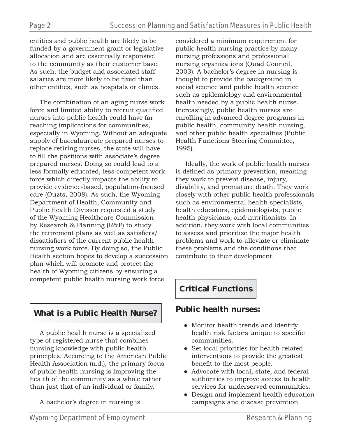entities and public health are likely to be funded by a government grant or legislative allocation and are essentially responsive to the community as their customer base. As such, the budget and associated staff salaries are more likely to be fixed than other entities, such as hospitals or clinics.

The combination of an aging nurse work force and limited ability to recruit qualified nurses into public health could have far reaching implications for communities, especially in Wyoming. Without an adequate supply of baccalaureate prepared nurses to replace retiring nurses, the state will have to fill the positions with associate's degree prepared nurses. Doing so could lead to a less formally educated, less competent work force which directly impacts the ability to provide evidence-based, population-focused care (Ouzts, 2008). As such, the Wyoming Department of Health, Community and Public Health Division requested a study of the Wyoming Healthcare Commission by Research & Planning (R&P) to study the retirement plans as well as satisfiers/ dissatisfiers of the current public health nursing work force. By doing so, the Public Health section hopes to develop a succession plan which will promote and protect the health of Wyoming citizens by ensuring a competent public health nursing work force.

### **What is a Public Health Nurse?**

A public health nurse is a specialized type of registered nurse that combines nursing knowledge with public health principles. According to the American Public Health Association (n.d.), the primary focus of public health nursing is improving the health of the community as a whole rather than just that of an individual or family.

A bachelor's degree in nursing is

considered a minimum requirement for public health nursing practice by many nursing professions and professional nursing organizations (Quad Council, 2003). A bachelor's degree in nursing is thought to provide the background in social science and public health science such as epidemiology and environmental health needed by a public health nurse. Increasingly, public health nurses are enrolling in advanced degree programs in public health, community health nursing, and other public health specialties (Public Health Functions Steering Committee, 1995).

Ideally, the work of public health nurses is defined as primary prevention, meaning they work to prevent disease, injury, disability, and premature death. They work closely with other public health professionals such as environmental health specialists, health educators, epidemiologists, public health physicians, and nutritionists. In addition, they work with local communities to assess and prioritize the major health problems and work to alleviate or eliminate these problems and the conditions that contribute to their development.

### **Critical Functions**

### **Public health nurses:**

- Monitor health trends and identify health risk factors unique to specific communities.
- Set local priorities for health-related interventions to provide the greatest benefit to the most people.
- Advocate with local, state, and federal authorities to improve access to health services for underserved communities.
- Design and implement health education campaigns and disease prevention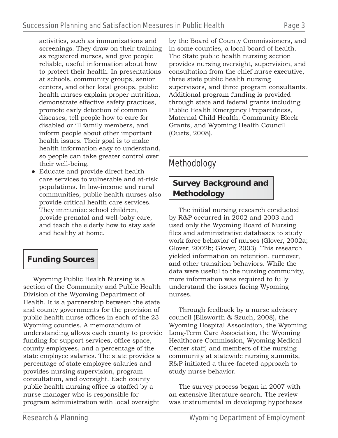activities, such as immunizations and screenings. They draw on their training as registered nurses, and give people reliable, useful information about how to protect their health. In presentations at schools, community groups, senior centers, and other local groups, public health nurses explain proper nutrition, demonstrate effective safety practices, promote early detection of common diseases, tell people how to care for disabled or ill family members, and inform people about other important health issues. Their goal is to make health information easy to understand, so people can take greater control over their well-being.

● Educate and provide direct health care services to vulnerable and at-risk populations. In low-income and rural communities, public health nurses also provide critical health care services. They immunize school children, provide prenatal and well-baby care, and teach the elderly how to stay safe and healthy at home.

### **Funding Sources**

Wyoming Public Health Nursing is a section of the Community and Public Health Division of the Wyoming Department of Health. It is a partnership between the state and county governments for the provision of public health nurse offices in each of the 23 Wyoming counties. A memorandum of understanding allows each county to provide funding for support services, office space, county employees, and a percentage of the state employee salaries. The state provides a percentage of state employee salaries and provides nursing supervision, program consultation, and oversight. Each county public health nursing office is staffed by a nurse manager who is responsible for program administration with local oversight

by the Board of County Commissioners, and in some counties, a local board of health. The State public health nursing section provides nursing oversight, supervision, and consultation from the chief nurse executive, three state public health nursing supervisors, and three program consultants. Additional program funding is provided through state and federal grants including Public Health Emergency Preparedness, Maternal Child Health, Community Block Grants, and Wyoming Health Council (Ouzts, 2008).

### Methodology

### **Survey Background and Methodology**

The initial nursing research conducted by R&P occurred in 2002 and 2003 and used only the Wyoming Board of Nursing files and administrative databases to study work force behavior of nurses (Glover, 2002a; Glover, 2002b; Glover, 2003). This research yielded information on retention, turnover, and other transition behaviors. While the data were useful to the nursing community, more information was required to fully understand the issues facing Wyoming nurses.

Through feedback by a nurse advisory council (Ellsworth & Szuch, 2008), the Wyoming Hospital Association, the Wyoming Long-Term Care Association, the Wyoming Healthcare Commission, Wyoming Medical Center staff, and members of the nursing community at statewide nursing summits, R&P initiated a three-faceted approach to study nurse behavior.

The survey process began in 2007 with an extensive literature search. The review was instrumental in developing hypotheses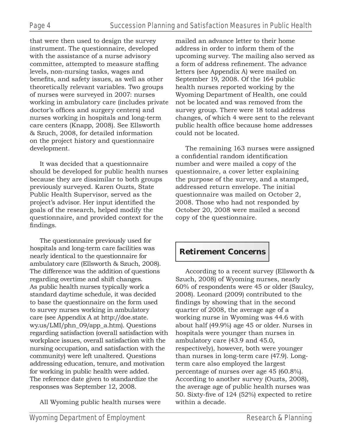that were then used to design the survey instrument. The questionnaire, developed with the assistance of a nurse advisory committee, attempted to measure staffing levels, non-nursing tasks, wages and benefits, and safety issues, as well as other theoretically relevant variables. Two groups of nurses were surveyed in 2007: nurses working in ambulatory care (includes private doctor's offices and surgery centers) and nurses working in hospitals and long-term care centers (Knapp, 2008). See Ellsworth & Szuch, 2008, for detailed information on the project history and questionnaire development.

It was decided that a questionnaire should be developed for public health nurses because they are dissimilar to both groups previously surveyed. Karen Ouzts, State Public Health Supervisor, served as the project's advisor. Her input identified the goals of the research, helped modify the questionnaire, and provided context for the findings.

The questionnaire previously used for hospitals and long-term care facilities was nearly identical to the questionnaire for ambulatory care (Ellsworth & Szuch, 2008). The difference was the addition of questions regarding overtime and shift changes. As public health nurses typically work a standard daytime schedule, it was decided to base the questionnaire on the form used to survey nurses working in ambulatory care (see Appendix A at http://doe.state. wy.us/LMI/phn\_09/app\_a.htm). Questions regarding satisfaction (overall satisfaction with workplace issues, overall satisfaction with the nursing occupation, and satisfaction with the community) were left unaltered. Questions addressing education, tenure, and motivation for working in public health were added. The reference date given to standardize the responses was September 12, 2008.

All Wyoming public health nurses were

mailed an advance letter to their home address in order to inform them of the upcoming survey. The mailing also served as a form of address refinement. The advance letters (see Appendix A) were mailed on September 19, 2008. Of the 164 public health nurses reported working by the Wyoming Department of Health, one could not be located and was removed from the survey group. There were 18 total address changes, of which 4 were sent to the relevant public health office because home addresses could not be located.

The remaining 163 nurses were assigned a confidential random identification number and were mailed a copy of the questionnaire, a cover letter explaining the purpose of the survey, and a stamped, addressed return envelope. The initial questionnaire was mailed on October 2, 2008. Those who had not responded by October 20, 2008 were mailed a second copy of the questionnaire.

### **Retirement Concerns**

According to a recent survey (Ellsworth & Szuch, 2008) of Wyoming nurses, nearly 60% of respondents were 45 or older (Saulcy, 2008). Leonard (2009) contributed to the findings by showing that in the second quarter of 2008, the average age of a working nurse in Wyoming was 44.6 with about half (49.9%) age 45 or older. Nurses in hospitals were younger than nurses in ambulatory care (43.9 and 45.0, respectively), however, both were younger than nurses in long-term care (47.9). Longterm care also employed the largest percentage of nurses over age 45 (60.8%). According to another survey (Ouzts, 2008), the average age of public health nurses was 50. Sixty-five of  $124$  (52%) expected to retire within a decade.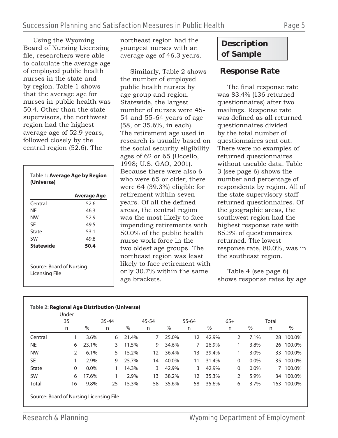Using the Wyoming Board of Nursing Licensing file, researchers were able to calculate the average age of employed public health nurses in the state and by region. Table 1 shows that the average age for nurses in public health was 50.4. Other than the state supervisors, the northwest region had the highest average age of 52.9 years, followed closely by the central region (52.6). The

| (Universe)                                 | Table 1: Average Age by Region |
|--------------------------------------------|--------------------------------|
|                                            | Average Age                    |
| Central                                    | 52.6                           |
| NF                                         | 46.3                           |
| NW                                         | 52.9                           |
| SF                                         | 49.5                           |
| State                                      | 53.1                           |
| SW                                         | 49.8                           |
| <b>Statewide</b>                           | 50.4                           |
| Source: Board of Nursing<br>Licensing File |                                |

northeast region had the youngest nurses with an average age of 46.3 years.

Similarly, Table 2 shows the number of employed public health nurses by age group and region. Statewide, the largest number of nurses were 45- 54 and 55-64 years of age (58, or 35.6%, in each). The retirement age used in research is usually based on the social security eligibility ages of 62 or 65 (Uccello, 1998; U.S. GAO, 2001). Because there were also 6 who were 65 or older, there were 64 (39.3%) eligible for retirement within seven years. Of all the defined areas, the central region was the most likely to face impending retirements with 50.0% of the public health nurse work force in the two oldest age groups. The northeast region was least likely to face retirement with only 30.7% within the same age brackets.

### **Description of Sample**

### **Response Rate**

The final response rate was 83.4% (136 returned questionnaires) after two mailings. Response rate was defined as all returned questionnaires divided by the total number of questionnaires sent out. There were no examples of returned questionnaires without useable data. Table 3 (see page 6) shows the number and percentage of respondents by region. All of the state supervisory staff returned questionnaires. Of the geographic areas, the southwest region had the highest response rate with 85.3% of questionnaires returned. The lowest response rate, 80.0%, was in the southeast region.

Table 4 (see page 6) shows response rates by age

|              | 35            |         | $35 - 44$ |       | 45-54 |       | 55-64 |       | $65+$ |         | Total |           |
|--------------|---------------|---------|-----------|-------|-------|-------|-------|-------|-------|---------|-------|-----------|
|              | n             | $\%$    | n         | %     | n     | $\%$  | n     | $\%$  | n     | $\%$    | n     | $\%$      |
| Central      |               | 3.6%    | 6         | 21.4% | 7     | 25.0% | 12    | 42.9% | 2     | 7.1%    | 28    | 100.0%    |
| <b>NE</b>    | 6             | 23.1%   | 3         | 11.5% | 9     | 34.6% | 7     | 26.9% |       | 3.8%    |       | 26 100.0% |
| <b>NW</b>    | $\mathcal{P}$ | 6.1%    | 5.        | 15.2% | 12    | 36.4% | 13    | 39.4% |       | 3.0%    | 33    | 100.0%    |
| <b>SE</b>    |               | 2.9%    | 9         | 25.7% | 14    | 40.0% | 11    | 31.4% | 0     | $0.0\%$ |       | 35 100.0% |
| <b>State</b> | $\mathbf{0}$  | $0.0\%$ |           | 14.3% | 3     | 42.9% | 3     | 42.9% | 0     | $0.0\%$ | 7     | 100.0%    |
| <b>SW</b>    | 6             | 17.6%   |           | 2.9%  | 13    | 38.2% | 12    | 35.3% | 2     | 5.9%    |       | 34 100.0% |
| Total        | 16            | 9.8%    | 25        | 15.3% | 58    | 35.6% | 58    | 35.6% | 6     | 3.7%    | 163   | 100.0%    |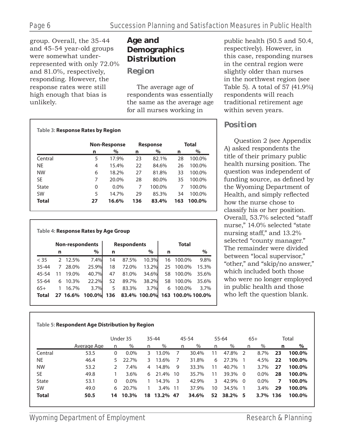group. Overall, the 35-44 and 45-54 year-old groups were somewhat underrepresented with only 72.0% and 81.0%, respectively, responding. However, the response rates were still high enough that bias is unlikely.

### **Age and Demographics Distribution**

### *Region*

The average age of respondents was essentially the same as the average age for all nurses working in

| Table 3: Response Rates by Region |    |                     |     |                 |     |              |
|-----------------------------------|----|---------------------|-----|-----------------|-----|--------------|
|                                   |    | <b>Non-Response</b> |     | <b>Response</b> |     | <b>Total</b> |
|                                   | n  | %                   | n   | %               | n   | $\%$         |
| Central                           | 5  | 17.9%               | 23  | 82.1%           | 28  | 100.0%       |
| NE                                | 4  | 15.4%               | 22  | 84.6%           | 26  | 100.0%       |
| <b>NW</b>                         | 6  | 18.2%               | 27  | 81.8%           | 33  | 100.0%       |
| <b>SE</b>                         | 7  | 20.0%               | 28  | 80.0%           | 35  | 100.0%       |
| State                             | 0  | $0.0\%$             | 7   | 100.0%          | 7   | 100.0%       |
| <b>SW</b>                         | 5  | 14.7%               | 29  | 85.3%           | 34  | 100.0%       |
| Total                             | 27 | 16.6%               | 136 | 83.4%           | 163 | 100.0%       |

### **Table 4: Response Rates by Age Group**

|              |               | <b>Non-respondents</b> |        |     | <b>Respondents</b> |              |    | Total             |       |
|--------------|---------------|------------------------|--------|-----|--------------------|--------------|----|-------------------|-------|
|              | n             |                        | $\%$   | n   |                    | %            | n  |                   | $\%$  |
| < 35         | $\mathcal{P}$ | 12.5%                  | 7.4%   | 14  | 87.5%              | 10.3%        | 16 | 100.0%            | 9.8%  |
| 35-44        | 7             | 28.0%                  | 25.9%  | 18  | 72.0%              | 13.2%        | 25 | 100.0%            | 15.3% |
| 45-54        | 11            | 19.0%                  | 40.7%  | 47  | 81.0%              | 34.6%        | 58 | 100.0%            | 35.6% |
| 55-64        | 6             | 10.3%                  | 22.2%  | 52  | 89.7%              | 38.2%        | 58 | 100.0%            | 35.6% |
| $65+$        | 1             | 16.7%                  | 3.7%   | 5   | 83.3%              | 3.7%         | 6  | 100.0%            | 3.7%  |
| <b>Total</b> |               | 27 16.6%               | 100.0% | 136 |                    | 83.4% 100.0% |    | 163 100.0% 100.0% |       |

### public health (50.5 and 50.4, respectively). However, in this case, responding nurses in the central region were slightly older than nurses in the northwest region (see Table 5). A total of 57 (41.9%) respondents will reach traditional retirement age within seven years.

### *Position*

Question 2 (see Appendix A) asked respondents the title of their primary public health nursing position. The question was independent of funding source, as defined by the Wyoming Department of Health, and simply reflected how the nurse chose to classify his or her position. Overall, 53.7% selected "staff nurse," 14.0% selected "state nursing staff," and 13.2% selected "county manager." The remainder were divided between "local supervisor," "other," and "skip/no answer," which included both those who were no longer employed in public health and those who left the question blank.

### **Table 5: Respondent Age Distribution by Region**

|              |             |    | Under 35 |    | 35-44    |    | 45-54 |    | $55 - 64$ | $65+$ |          |    | Total  |
|--------------|-------------|----|----------|----|----------|----|-------|----|-----------|-------|----------|----|--------|
|              | Average Age | n  | $\%$     | n  | $\%$     | n  | $\%$  | n  | %         | n     | $\%$     | n  | %      |
| Central      | 53.5        | 0  | $0.0\%$  | 3  | 13.0%    |    | 30.4% | 11 | 47.8%     | -2    | 8.7%     | 23 | 100.0% |
| <b>NE</b>    | 46.4        | 5. | 22.7%    | 3  | 13.6%    |    | 31.8% | 6  | 27.3%     |       | 4.5%     | 22 | 100.0% |
| <b>NW</b>    | 53.2        |    | 7.4%     | 4  | 14.8%    | 9  | 33.3% | 11 | 40.7%     |       | 3.7%     | 27 | 100.0% |
| <b>SE</b>    | 49.8        |    | 3.6%     | 6  | 21.4%    | 10 | 35.7% | 11 | 39.3%     | -0    | $0.0\%$  | 28 | 100.0% |
| State        | 53.1        | 0  | $0.0\%$  |    | 14.3%    | -3 | 42.9% | 3  | 42.9%     | 0     | $0.0\%$  | 7  | 100.0% |
| <b>SW</b>    | 49.0        | 6. | 20.7%    |    | $3.4\%$  | 11 | 37.9% | 10 | 34.5%     |       | 3.4%     | 29 | 100.0% |
| <b>Total</b> | 50.5        | 14 | 10.3%    | 18 | 13.2% 47 |    | 34.6% | 52 | 38.2%     | -5    | 3.7% 136 |    | 100.0% |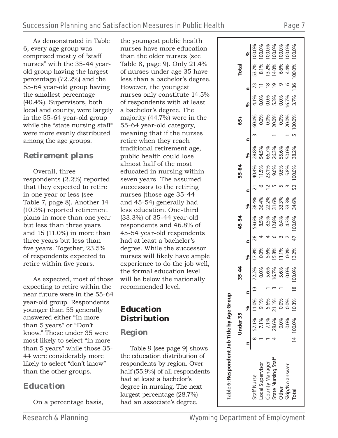As demonstrated in Table 6, every age group was comprised mostly of "staff nurses" with the 35-44 yearold group having the largest percentage (72.2%) and the 55-64 year-old group having the smallest percentage (40.4%). Supervisors, both local and county, were largely in the 55-64 year-old group while the "state nursing staff" were more evenly distributed among the age groups.

### *Retirement plans*

Overall, three respondents (2.2%) reported that they expected to retire in one year or less (see Table 7, page 8). Another 14 (10.3%) reported retirement plans in more than one year but less than three years and 15 (11.0%) in more than three years but less than five years. Together, 23.5% of respondents expected to retire within five years.

As expected, most of those expecting to retire within the near future were in the 55-64 year-old group. Respondents younger than 55 generally answered either "In more than 5 years" or "Don't know." Those under 35 were most likely to select "in more than 5 years" while those 35- 44 were considerably more likely to select "don't know" than the other groups.

### *Education*

On a percentage basis,

the youngest public health nurses have more education than the older nurses (see Table 8, page 9). Only 21.4% of nurses under age 35 have less than a bachelor's degree. However, the youngest nurses only constitute 14.5% of respondents with at least a bachelor's degree. The majority (44.7%) were in the 55-64 year-old category, meaning that if the nurses retire when they reach traditional retirement age, public health could lose almost half of the most educated in nursing within seven years. The assumed successors to the retiring nurses (those age 35-44 and 45-54) generally had less education. One-third (33.3%) of 35-44 year-old respondents and 46.8% of 45-54 year-old respondents had at least a bachelor's degree. While the successor nurses will likely have ample experience to do the job well, the formal education level will be below the nationally recommended level.

### **Education Distribution**

### *Region*

Table 9 (see page 9) shows the education distribution of respondents by region. Over half (55.9%) of all respondents had at least a bachelor's degree in nursing. The next largest percentage (28.7%) had an associate's degree.

|                                    | Under 35 |                                                                                                                                                                                                                                                                                                                                                                    |               |                                                                                                                                                                                                                |  | 5-54 |  | 55-64                                                                                                                                                                                                                                                                                            |  | 65+ |  | <b>Total</b> |                                                                                                                                                                                                                                                                                 |
|------------------------------------|----------|--------------------------------------------------------------------------------------------------------------------------------------------------------------------------------------------------------------------------------------------------------------------------------------------------------------------------------------------------------------------|---------------|----------------------------------------------------------------------------------------------------------------------------------------------------------------------------------------------------------------|--|------|--|--------------------------------------------------------------------------------------------------------------------------------------------------------------------------------------------------------------------------------------------------------------------------------------------------|--|-----|--|--------------|---------------------------------------------------------------------------------------------------------------------------------------------------------------------------------------------------------------------------------------------------------------------------------|
|                                    |          |                                                                                                                                                                                                                                                                                                                                                                    |               |                                                                                                                                                                                                                |  |      |  |                                                                                                                                                                                                                                                                                                  |  |     |  |              |                                                                                                                                                                                                                                                                                 |
| staff Nurse                        |          | $\begin{array}{cccc}\n & \frac{\%}{6} & \frac{\%}{11.0\%} & \frac{\%}{13.57.1\%} & \frac{\%}{11.0\%} & \frac{\%}{13.5\%} & \frac{\%}{13.5\%} & \frac{\%}{13.5\%} & \frac{\%}{13.5\%} & \frac{\%}{13.5\%} & \frac{\%}{13.5\%} & \frac{\%}{13.5\%} & \frac{\%}{13.5\%} & \frac{\%}{13.5\%} & \frac{\%}{13.5\%} & \frac{\%}{13.5\%} & \frac{\%}{13.5\%} & \frac{\%}{$ |               | $\begin{array}{cccc} \sqrt{2.2\%} & 17.8\% & 28 \\ 0.0\% & 0.0\% & 4 \\ 5.6\% & 5.6\% & 4 \\ 16.7\% & 15.8\% & 4 \\ 15.6\% & 11.1\% & 0.0\% \\ 0.00\% & 0.00\% & 0.00\% \\ 18 & 100.00\% & 13.2\% \end{array}$ |  |      |  | $\begin{array}{cccccc} 28 & 59.6\% & 38.4\% & 21 & 40.4\% & 28.8\% \\ 4 & 8.5\% & 36.4\% & 6 & 11.5\% & 54.5\% \\ 4 & 8.5\% & 22.2\% & 12 & 23.1\% & 66.7\% \\ 5 & 12.8\% & 31.6\% & 5 & 9.6\% & 26.3\% \\ 6 & 12.8\% & 31.3\% & 5 & 9.6\% & 55.6\% \\ 7 & 4.3\% & 33.3\% & 3 & 5$<br>$-140.4\%$ |  |     |  |              | $\begin{array}{cccccc} 60.0\% & 4.1\% & 73 & 53.7\% & 100.0\% \\ 0.0\% & 0.0\% & 11 & 8.1\% & 100.0\% \\ 0.0\% & 0.0\% & 18 & 13.2\% & 100.0\% \\ 20.0\% & 5.3\% & 19 & 14.0\% & 100.0\% \\ 0.0\% & 0.0\% & 9 & 6.6\% & 100.0\% \\ 20.0\% & 16.7\% & 6 & 4.4\% & 100.0\% \\ 10$ |
|                                    |          |                                                                                                                                                                                                                                                                                                                                                                    |               |                                                                                                                                                                                                                |  |      |  |                                                                                                                                                                                                                                                                                                  |  |     |  |              |                                                                                                                                                                                                                                                                                 |
| Local Supervisor<br>County Manager |          |                                                                                                                                                                                                                                                                                                                                                                    |               |                                                                                                                                                                                                                |  |      |  |                                                                                                                                                                                                                                                                                                  |  |     |  |              |                                                                                                                                                                                                                                                                                 |
| State Nursing Staff<br>Other       |          |                                                                                                                                                                                                                                                                                                                                                                    |               |                                                                                                                                                                                                                |  |      |  |                                                                                                                                                                                                                                                                                                  |  |     |  |              |                                                                                                                                                                                                                                                                                 |
|                                    |          |                                                                                                                                                                                                                                                                                                                                                                    |               |                                                                                                                                                                                                                |  |      |  |                                                                                                                                                                                                                                                                                                  |  |     |  |              |                                                                                                                                                                                                                                                                                 |
| ikip/No answer                     |          |                                                                                                                                                                                                                                                                                                                                                                    |               |                                                                                                                                                                                                                |  |      |  |                                                                                                                                                                                                                                                                                                  |  |     |  |              |                                                                                                                                                                                                                                                                                 |
| <b>Total</b>                       | 100.0%   | 10.3%                                                                                                                                                                                                                                                                                                                                                              | $\frac{8}{1}$ |                                                                                                                                                                                                                |  |      |  |                                                                                                                                                                                                                                                                                                  |  |     |  |              |                                                                                                                                                                                                                                                                                 |
|                                    |          |                                                                                                                                                                                                                                                                                                                                                                    |               |                                                                                                                                                                                                                |  |      |  |                                                                                                                                                                                                                                                                                                  |  |     |  |              |                                                                                                                                                                                                                                                                                 |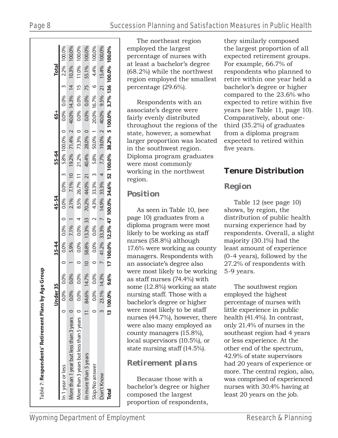|                                           |           | Under:    |       | 35-44 |                                                                                         | 45-54 |  | 55-64 |  | 65+ |  | <b>Total</b> |  |
|-------------------------------------------|-----------|-----------|-------|-------|-----------------------------------------------------------------------------------------|-------|--|-------|--|-----|--|--------------|--|
| n 1 year or less                          | $\subset$ | $0.0\%$   |       |       | $0.0\%$ 0 $0.0\%$ 0.0% 0 $0.0\%$ 0.0% 3 5.8% 100.0% 0 0.0% 0.0% 3 2.2% 100.0%           |       |  |       |  |     |  |              |  |
| More than 1 year but less than 3 years 0  |           | 0.0%      | 0.0%  |       | 5.9% 7.1% 1 2.1% 7.1% 10 19.2% 71.4% 2 40.0% 14.3% 14 10.3% 100.0%                      |       |  |       |  |     |  |              |  |
| More than 3 years but less than 5 years 0 |           | 0.0%      |       |       | $0.0\%$ 0 $0.0\%$ 0.0% 4 $8.5\%$ $26.7\%$ 11 $21.2\%$ 73.3% 0 0.0% 0.0% 15 11.0% 100.0% |       |  |       |  |     |  |              |  |
| n more than 5 years                       |           | 84.6%     | 14.7% |       | 10 58.8% 13.3% 33 70.2% 44.0% 21 40.4% 28.0% 0 0.0% 0.0% 75 55.1% 100.0%                |       |  |       |  |     |  |              |  |
| Skip/No answer                            |           | 0.0%      |       |       | $0.0\%$ 0 $0.0\%$ 0.0% 2 4.3% 33.3% 3 5.8% 50.0% 1 20.0% 16.7% 6 4.4% 100.0%            |       |  |       |  |     |  |              |  |
| Don't Know                                |           | 23.1%     |       |       | 14.3% 7 41.2% 33.3% 7 14.9% 33.3% 4 7.7% 9.00% 2 40.0% 9.5% 21 15.4% 100.0%             |       |  |       |  |     |  |              |  |
| <b>Total</b>                              |           | 13 100.0% | 9.6%  |       | 17 100.0% 12.5% 47 100.0% 34.6% 52 100.0% 38.2% 5 100.0% 3.7% 136 100.0% 100.0%         |       |  |       |  |     |  |              |  |

The northeast region employed the largest percentage of nurses with at least a bachelor's degree (68.2%) while the northwest region employed the smallest percentage (29.6%).

Respondents with an associate's degree were fairly evenly distributed throughout the regions of the state, however, a somewhat larger proportion was located in the southwest region. Diploma program graduates were most commonly working in the northwest region.

### *Position*

As seen in Table 10, (see page 10) graduates from a diploma program were most likely to be working as staff nurses (58.8%) although 17.6% were working as county managers. Respondents with an associate's degree also were most likely to be working as staff nurses (74.4%) with some (12.8%) working as state nursing staff. Those with a bachelor's degree or higher were most likely to be staff nurses (44.7%), however, there were also many employed as county managers (15.8%), local supervisors (10.5%), or state nursing staff (14.5%).

### *Retirement plans*

Because those with a bachelor's degree or higher composed the largest proportion of respondents,

they similarly composed the largest proportion of all expected retirement groups. For example, 66.7% of respondents who planned to retire within one year held a bachelor's degree or higher compared to the 23.6% who expected to retire within five years (see Table 11, page 10). Comparatively, about onethird (35.2%) of graduates from a diploma program expected to retired within five years.

### **Tenure Distribution**

### *Region*

Table 12 (see page 10) shows, by region, the distribution of public health nursing experience had by respondents. Overall, a slight majority (30.1%) had the least amount of experience (0-4 years), followed by the 27.2% of respondents with 5-9 years.

The southwest region employed the highest percentage of nurses with little experience in public health (41.4%). In contrast, only 21.4% of nurses in the southeast region had 4 years or less experience. At the other end of the spectrum, 42.9% of state supervisors had 20 years of experience or more. The central region, also, was comprised of experienced nurses with 30.4% having at least 20 years on the job.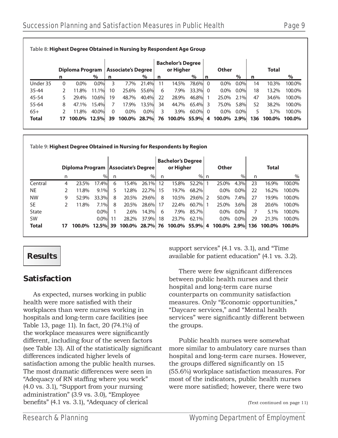| Diploma Program<br>% |      | <b>Associate's Degree</b>                        |                            |               | <b>Bachelor's Degree</b>                |         |   |                                                                |      |             |              |        |
|----------------------|------|--------------------------------------------------|----------------------------|---------------|-----------------------------------------|---------|---|----------------------------------------------------------------|------|-------------|--------------|--------|
|                      |      |                                                  |                            |               |                                         |         |   | Other                                                          |      |             | <b>Total</b> |        |
|                      | n    |                                                  | $\%$                       | n             | or Higher                               | %       | n |                                                                | $\%$ | n           |              | $\%$   |
| $0.0\%$              | 0.0% | 3<br>7.7%                                        | 21.4%                      | 11            | 14.5%                                   | 78.6% 0 |   | $0.0\%$                                                        | 0.0% | 14          | 10.3%        | 100.0% |
| 11.8%                |      |                                                  |                            | 6             | 7.9%                                    |         |   | $0.0\%$                                                        | 0.0% | 18          | 13.2%        | 100.0% |
| 29.4%                |      | 48.7%                                            |                            | 22            | 28.9%                                   |         |   | 25.0%                                                          | 2.1% | 47          | 34.6%        | 100.0% |
| 47.1%                |      | 17.9%                                            |                            | 34            | 44.7%                                   |         |   | 75.0%                                                          | 5.8% | 52          | 38.2%        | 100.0% |
| 11.8%                |      | $0.0\%$                                          |                            | 3             | 3.9%                                    |         |   | $0.0\%$                                                        | 0.0% | 5           | 3.7%         | 100.0% |
|                      |      |                                                  |                            |               |                                         |         |   |                                                                |      | 136         |              | 100.0% |
|                      |      | 11.1%<br>10.6%<br>15.4%<br>40.0%<br>100.0% 12.5% | 10<br>19<br>$\Omega$<br>39 | 25.6%<br>0.0% | 55.6%<br>40.4%<br>13.5%<br>100.0% 28.7% |         |   | 33.3% 0<br>46.8%<br>65.4% 3<br>$60.0\%$ 0<br>76 100.0% 55.9% 4 |      | 100.0% 2.9% |              | 100.0% |

**Table 9: Highest Degree Obtained in Nursing for Respondents by Region**

|              |    | Diploma Program   Associate's Degree |          |    |       |       |    | <b>Bachelor's Degree</b><br>or Higher |         | Other       |         |     | <b>Total</b> |        |
|--------------|----|--------------------------------------|----------|----|-------|-------|----|---------------------------------------|---------|-------------|---------|-----|--------------|--------|
|              | n  |                                      | %        | n  |       | %     | n  |                                       | % n     |             | $\%$    | n   |              | $\%$   |
| Central      | 4  | 23.5%                                | 17.4%    | 6  | 15.4% | 26.1% | 12 | 15.8%                                 | 52.2%   | 25.0%       | 4.3%    | 23  | 16.9%        | 100.0% |
| NE.          |    | 11.8%                                | $9.1\%$  | 5  | 12.8% | 22.7% | 15 | 19.7%                                 | 68.2%   | $0.0\%$     | $0.0\%$ | 22  | 16.2%        | 100.0% |
| <b>NW</b>    | 9  | 52.9%                                | 33.3%    | 8  | 20.5% | 29.6% | 8  | 10.5%                                 | 29.6% 2 | 50.0%       | 7.4%    | 27  | 19.9%        | 100.0% |
| SE           |    | 11.8%                                | 7.1%     | 8  | 20.5% | 28.6% | 17 | 22.4%                                 | 60.7% 1 | 25.0%       | 3.6%    | 28  | 20.6%        | 100.0% |
| State        |    |                                      | $0.0\%$  |    | 2.6%  | 14.3% | 6  | 7.9%                                  | 85.7%   | $0.0\%$     | $0.0\%$ | 7   | $5.1\%$      | 100.0% |
| SW           |    |                                      | $0.0\%$  | 11 | 28.2% | 37.9% | 18 | 23.7%                                 | 62.1%   | $0.0\%$     | $0.0\%$ | 29  | 21.3%        | 100.0% |
| <b>Total</b> | 17 | 100.0%                               | 12.5% 39 |    |       |       |    | 100.0% 28.7% 76 100.0% 55.9% 4        |         | 100.0% 2.9% |         | 136 | 100.0%       | 100.0% |

### **Results**

### **Satisfaction**

As expected, nurses working in public health were more satisfied with their workplaces than were nurses working in hospitals and long-term care facilities (see Table 13, page 11). In fact, 20 (74.1%) of the workplace measures were significantly different, including four of the seven factors (see Table 13). All of the statistically significant differences indicated higher levels of satisfaction among the public health nurses. The most dramatic differences were seen in "Adequacy of RN staffing where you work" (4.0 vs. 3.1), "Support from your nursing administration" (3.9 vs. 3.0), "Employee benefits" (4.1 vs. 3.1), "Adequacy of clerical

support services" (4.1 vs. 3.1), and "Time available for patient education" (4.1 vs. 3.2).

There were few significant differences between public health nurses and their hospital and long-term care nurse counterparts on community satisfaction measures. Only "Economic opportunities," "Daycare services," and "Mental health services" were significantly different between the groups.

Public health nurses were somewhat more similar to ambulatory care nurses than hospital and long-term care nurses. However, the groups differed significantly on 15 (55.6%) workplace satisfaction measures. For most of the indicators, public health nurses were more satisfied; however, there were two

<sup>(</sup>Text continued on page 11)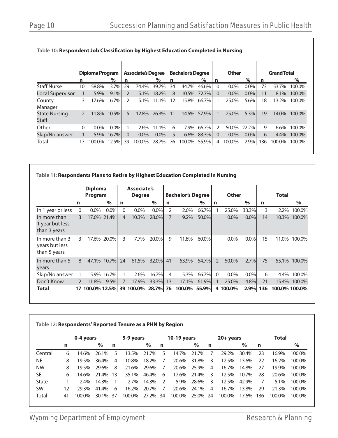|                               |               | Diploma Program |         |               | <b>Associate's Degree</b> |         |    | <b>Bachelor's Degree</b> |             |               | <b>Other</b> |         |     | <b>Grand Total</b> |        |
|-------------------------------|---------------|-----------------|---------|---------------|---------------------------|---------|----|--------------------------|-------------|---------------|--------------|---------|-----|--------------------|--------|
|                               | n             |                 | $\%$    | n             |                           | $\%$    | n  |                          | $\%$        | n             |              | $\%$    | n   |                    | $\%$   |
| Staff Nurse                   | 10            | 58.8%           | 13.7%   | 29            | 74.4%                     | 39.7%   | 34 | 44.7%                    | 46.6%       | $\Omega$      | $0.0\%$      | $0.0\%$ | 73  | 53.7%              | 100.0% |
| Local Supervisor              |               | 5.9%            | 9.1%    | $\mathcal{P}$ | 5.1%                      | 18.2%   | 8  |                          | 10.5% 72.7% | 0             | $0.0\%$      | $0.0\%$ | 11  | 8.1%               | 100.0% |
| County<br>Manager             | 3             | 17.6%           | 16.7%   | 2             | $5.1\%$                   | 11.1%   | 12 |                          | 15.8% 66.7% |               | 25.0%        | 5.6%    | 18  | 13.2%              | 100.0% |
| <b>State Nursing</b><br>Staff | $\mathcal{P}$ | 11.8%           | 10.5%   | 5             | 12.8%                     | 26.3%   | 11 |                          | 14.5% 57.9% |               | 25.0%        | 5.3%    | 19  | 14.0%              | 100.0% |
| Other                         | $\Omega$      | $0.0\%$         | $0.0\%$ |               | 2.6%                      | 11.1%   | 6  |                          | 7.9% 66.7%  | $\mathcal{P}$ | 50.0%        | 22.2%   | 9   | 6.6%               | 100.0% |
| Skip/No answer                |               | $5.9\%$         | 16.7%   | $\Omega$      | $0.0\%$                   | $0.0\%$ | 5  |                          | 6.6% 83.3%  | $\Omega$      | $0.0\%$      | $0.0\%$ | 6   | 4.4%               | 100.0% |
| Total                         | 17            | 100.0% 12.5% 39 |         |               | 100.0%                    | 28.7%   | 76 | 100.0% 55.9%             |             | 4             | 100.0%       | 2.9%    | 136 | 100.0%             | 100.0% |

| Table 11: Respondents Plans to Retire by Highest Education Completed in Nursing |              |                           |             |                |                                     |         |    |                          |       |               |              |         |     |               |        |
|---------------------------------------------------------------------------------|--------------|---------------------------|-------------|----------------|-------------------------------------|---------|----|--------------------------|-------|---------------|--------------|---------|-----|---------------|--------|
|                                                                                 |              | <b>Diploma</b><br>Program |             |                | <b>Associate's</b><br><b>Degree</b> |         |    | <b>Bachelor's Degree</b> |       |               | <b>Other</b> |         |     | Total         |        |
|                                                                                 | n            |                           | $\%$        | n              |                                     | $\%$    | n  |                          | $\%$  | n             |              | $\%$    | n   |               | $\%$   |
| In 1 year or less                                                               | $\mathbf{0}$ | $0.0\%$                   | 0.0%        | $\Omega$       | $0.0\%$                             | $0.0\%$ | 2  | 2.6%                     | 66.7% |               | 25.0%        | 33.3%   | 3   | $2.2\%$       | 100.0% |
| In more than<br>1 year but less<br>than 3 years                                 | 3            |                           | 17.6% 21.4% | $\overline{4}$ | 10.3%                               | 28.6%   | 7  | $9.2\%$                  | 50.0% |               | $0.0\%$      | $0.0\%$ | 14  | 10.3%         | 100.0% |
| In more than 3<br>years but less<br>than 5 years                                | 3            |                           | 17.6% 20.0% | 3              | 7.7%                                | 20.0%   | 9  | 11.8%                    | 60.0% |               | $0.0\%$      | $0.0\%$ | 15  | 11.0%         | 100.0% |
| In more than 5<br>years                                                         | 8            |                           | 47.1% 10.7% | 24             | 61.5%                               | 32.0%   | 41 | 53.9%                    | 54.7% | $\mathcal{P}$ | 50.0%        | 2.7%    | 75  | 55.1%         | 100.0% |
| Skip/No answer                                                                  |              | 5.9%                      | 16.7%       | 1              | 2.6%                                | 16.7%   | 4  | 5.3%                     | 66.7% | $\Omega$      | $0.0\%$      | $0.0\%$ | 6   | 4.4%          | 100.0% |
| Don't Know                                                                      | 2            | 11.8%                     | 9.5%        | 7              | 17.9%                               | 33.3%   | 13 | 17.1%                    | 61.9% |               | 25.0%        | 4.8%    | 21  | 15.4%         | 100.0% |
| Total                                                                           |              |                           |             |                | 17 100.0% 12.5% 39 100.0% 28.7% 76  |         |    | 100.0%                   | 55.9% |               | 4 100.0%     | 2.9%    | 136 | 100.0% 100.0% |        |

|           | 0-4 years |         |       |                 | 5-9 years |       |               | 10-19 years |       |    | 20+ years |       | <b>Total</b> |        |        |
|-----------|-----------|---------|-------|-----------------|-----------|-------|---------------|-------------|-------|----|-----------|-------|--------------|--------|--------|
|           | n         |         | $\%$  | n               |           | $\%$  | n             |             | $\%$  | n  |           | $\%$  | n            |        | $\%$   |
| Central   | 6         | 14.6%   | 26.1% | 5               | 13.5%     | 21.7% | 5             | 14.7%       | 21.7% |    | 29.2%     | 30.4% | 23           | 16.9%  | 100.0% |
| NE        | 8         | 19.5%   | 36.4% | 4               | 10.8%     | 18.2% |               | 20.6%       | 31.8% | 3  | 12.5%     | 13.6% | 22           | 16.2%  | 100.0% |
| <b>NW</b> | 8         | 19.5%   | 29.6% | 8               | 21.6%     | 29.6% | 7             | 20.6%       | 25.9% | 4  | 16.7%     | 14.8% | 27           | 19.9%  | 100.0% |
| SE        | 6         | 14.6%   | 21.4% | 13 <sup>7</sup> | 35.1%     | 46.4% | 6             | 17.6%       | 21.4% | 3  | 12.5%     | 10.7% | 28           | 20.6%  | 100.0% |
| State     |           | $2.4\%$ | 14.3% |                 | $2.7\%$   | 14.3% | $\mathcal{P}$ | 5.9%        | 28.6% | 3. | 12.5%     | 42.9% |              | 5.1%   | 100.0% |
| <b>SW</b> | 12        | 29.3%   | 41.4% | 6               | 16.2%     | 20.7% |               | 20.6%       | 24.1% | 4  | 16.7%     | 13.8% | 29           | 21.3%  | 100.0% |
| Total     | 41        | 100.0%  | 30.1% | 37              | 100.0%    | 27.2% | 34            | 100.0%      | 25.0% | 24 | 100.0%    | 17.6% | 136          | 100.0% | 100.0% |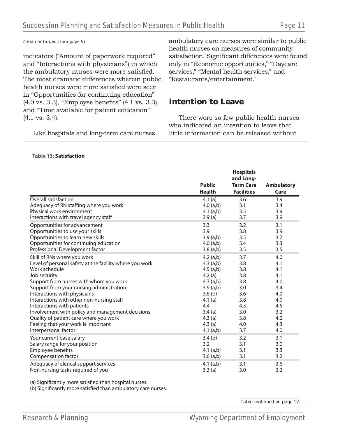(Text continued from page 9)

**Table 13: Satisfaction**

indicators ("Amount of paperwork required" and "Interactions with physicians") in which the ambulatory nurses were more satisfied. The most dramatic differences wherein public health nurses were more satisfied were seen in "Opportunities for continuing education"  $(4.0 \text{ vs. } 3.3)$ , "Employee benefits"  $(4.1 \text{ vs. } 3.3)$ , and "Time available for patient education" (4.1 vs. 3.4).

Like hospitals and long-term care nurses,

ambulatory care nurses were similar to public health nurses on measures of community satisfaction. Significant differences were found only in "Economic opportunities," "Daycare services," "Mental health services," and "Restaurants/entertainment."

### **Intention to Leave**

There were so few public health nurses who indicated an intention to leave that little information can be released without

| <b>Public</b><br><b>Health</b><br>4.1(a)<br>4.0(a,b)<br>$4.1$ (a,b)<br>3.9(a)<br>3.3<br>3.9<br>3.9(a,b)<br>4.0(a,b)                                       | and Long-<br><b>Term Care</b><br><b>Facilities</b><br>3.6<br>3.1<br>3.5<br>3.7<br>3.2<br>3.8<br>3.5 | <b>Ambulatory</b><br>Care<br>3.9<br>3.4<br>3.9<br>3.9<br>3.1<br>3.9                     |
|-----------------------------------------------------------------------------------------------------------------------------------------------------------|-----------------------------------------------------------------------------------------------------|-----------------------------------------------------------------------------------------|
|                                                                                                                                                           |                                                                                                     |                                                                                         |
|                                                                                                                                                           |                                                                                                     |                                                                                         |
| $3.8$ (a,b)                                                                                                                                               | 3.4<br>3.5                                                                                          | 3.7<br>3.3<br>3.5                                                                       |
| $4.2$ (a,b)<br>$4.3$ (a,b)<br>$4.5$ (a,b)<br>4.2(a)<br>$4.3$ (a,b)<br>3.9(a,b)<br>3.6(b)<br>4.1 $(a)$<br>4.4<br>3.4(a)<br>4.3(a)<br>4.3(a)<br>4.1 $(a,b)$ | 3.7<br>3.8<br>3.8<br>3.8<br>3.8<br>3.0<br>3.6<br>3.8<br>4.3<br>3.0<br>3.8<br>4.0<br>3.7             | 4.0<br>4.1<br>4.1<br>4.1<br>4.0<br>3.4<br>4.0<br>4.0<br>4.5<br>3.2<br>4.2<br>4.3<br>4.0 |
| 3.4(b)<br>3.2<br>4.1 $(a,b)$<br>$3.6$ (a,b)<br>4.1 $(a,b)$<br>3.3(a)                                                                                      | 3.2<br>3.1<br>3.1<br>3.1<br>3.1<br>3.0                                                              | 3.1<br>3.0<br>3.3<br>3.2<br>3.6<br>3.2                                                  |
|                                                                                                                                                           |                                                                                                     |                                                                                         |

*Table continued on page 12*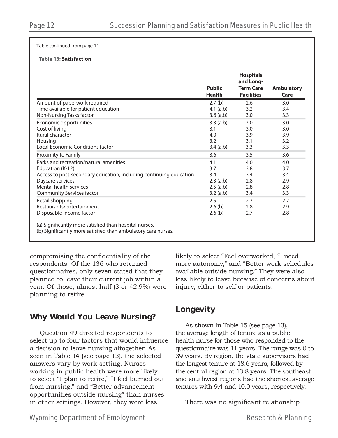*Table continued from page 11*

### **Table 13: Satisfaction**

|                                                                                                                         | <b>Public</b><br><b>Health</b> | <b>Hospitals</b><br>and Long-<br><b>Term Care</b><br><b>Facilities</b> | <b>Ambulatory</b><br>Care |
|-------------------------------------------------------------------------------------------------------------------------|--------------------------------|------------------------------------------------------------------------|---------------------------|
| Amount of paperwork required                                                                                            | 2.7(b)                         | 2.6                                                                    | 3.0                       |
| Time available for patient education                                                                                    | $4.1$ (a,b)                    | 3.2                                                                    | 3.4                       |
| Non-Nursing Tasks factor                                                                                                | $3.6$ (a,b)                    | 3.0                                                                    | 3.3                       |
| Economic opportunities                                                                                                  | $3.3$ (a,b)                    | 3.0                                                                    | 3.0                       |
| Cost of living                                                                                                          | 3.1                            | 3.0                                                                    | 3.0                       |
| Rural character                                                                                                         | 4.0                            | 3.9                                                                    | 3.9                       |
| Housing                                                                                                                 | 3.2                            | 3.1                                                                    | 3.2                       |
| Local Economic Conditions factor                                                                                        | $3.4$ (a,b)                    | 3.3                                                                    | 3.3                       |
| Proximity to Family                                                                                                     | 3.6                            | 3.5                                                                    | 3.6                       |
| Parks and recreation/natural amenities                                                                                  | 4.1                            | 4.0                                                                    | 4.0                       |
| Education (K-12)                                                                                                        | 3.7                            | 3.8                                                                    | 3.7                       |
| Access to post-secondary education, including continuing education                                                      | 3.4                            | 3.4                                                                    | 3.4                       |
| Daycare services                                                                                                        | $2.3$ (a,b)                    | 2.8                                                                    | 2.9                       |
| Mental health services                                                                                                  | $2.5$ (a,b)                    | 2.8                                                                    | 2.8                       |
| <b>Community Services factor</b>                                                                                        | $3.2$ (a,b)                    | 3.4                                                                    | 3.3                       |
| Retail shopping                                                                                                         | 2.5                            | 2.7                                                                    | 2.7                       |
| Restaurants/entertainment                                                                                               | 2.6(b)                         | 2.8                                                                    | 2.9                       |
| Disposable Income factor                                                                                                | 2.6(b)                         | 2.7                                                                    | 2.8                       |
| (a) Significantly more satisfied than hospital nurses.<br>(b) Significantly more satisfied than ambulatory care nurses. |                                |                                                                        |                           |

compromising the confidentiality of the respondents. Of the 136 who returned questionnaires, only seven stated that they planned to leave their current job within a year. Of those, almost half (3 or 42.9%) were planning to retire.

### **Why Would You Leave Nursing?**

Question 49 directed respondents to select up to four factors that would influence a decision to leave nursing altogether. As seen in Table 14 (see page 13), the selected answers vary by work setting. Nurses working in public health were more likely to select "I plan to retire," "I feel burned out from nursing," and "Better advancement opportunities outside nursing" than nurses in other settings. However, they were less

likely to select "Feel overworked, "I need more autonomy," and "Better work schedules available outside nursing." They were also less likely to leave because of concerns about injury, either to self or patients.

### **Longevity**

As shown in Table 15 (see page 13), the average length of tenure as a public health nurse for those who responded to the questionnaire was 11 years. The range was 0 to 39 years. By region, the state supervisors had the longest tenure at 18.6 years, followed by the central region at 13.8 years. The southeast and southwest regions had the shortest average tenures with 9.4 and 10.0 years, respectively.

There was no significant relationship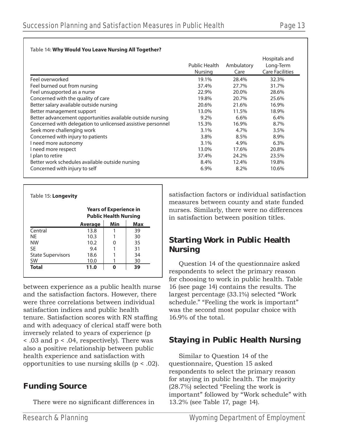|                                                             | <b>Public Health</b><br>Nursing | Ambulatory<br>Care | Hospitals and<br>Long-Term<br><b>Care Facilities</b> |
|-------------------------------------------------------------|---------------------------------|--------------------|------------------------------------------------------|
| Feel overworked                                             | 19.1%                           | 28.4%              | 32.3%                                                |
| Feel burned out from nursing                                | 37.4%                           | 27.7%              | 31.7%                                                |
| Feel unsupported as a nurse                                 | 22.9%                           | 20.0%              | 28.6%                                                |
| Concerned with the quality of care                          | 19.8%                           | 20.7%              | 25.6%                                                |
| Better salary available outside nursing                     | 20.6%                           | 21.6%              | 16.9%                                                |
| Better management support                                   | 13.0%                           | 11.5%              | 18.9%                                                |
| Better advancement opportunities available outside nursing  | 9.2%                            | $6.6\%$            | 6.4%                                                 |
| Concerned with delegation to unlicensed assistive personnel | 15.3%                           | 16.9%              | 8.7%                                                 |
| Seek more challenging work                                  | 3.1%                            | 4.7%               | 3.5%                                                 |
| Concerned with injury to patients                           | 3.8%                            | 8.5%               | 8.9%                                                 |
| I need more autonomy                                        | 3.1%                            | 4.9%               | 6.3%                                                 |
| I need more respect                                         | 13.0%                           | 17.6%              | 20.8%                                                |
| I plan to retire                                            | 37.4%                           | 24.2%              | 23.5%                                                |
| Better work schedules available outside nursing             | 8.4%                            | 12.4%              | 19.8%                                                |
| Concerned with injury to self                               | 6.9%                            | 8.2%               | 10.6%                                                |

|                          |                | <b>Years of Experience in</b><br><b>Public Health Nursing</b> |     |  |  |  |  |  |
|--------------------------|----------------|---------------------------------------------------------------|-----|--|--|--|--|--|
|                          | <b>Average</b> | Min                                                           | Max |  |  |  |  |  |
| Central                  | 13.8           | 1                                                             | 39  |  |  |  |  |  |
| NF                       | 10.3           |                                                               | 30  |  |  |  |  |  |
| <b>NW</b>                | 10.2           | 0                                                             | 35  |  |  |  |  |  |
| SF                       | 9.4            | 1                                                             | 31  |  |  |  |  |  |
| <b>State Supervisors</b> | 18.6           | 1                                                             | 34  |  |  |  |  |  |
| SW                       | 10.0           |                                                               | 30  |  |  |  |  |  |
| <b>Total</b>             | 11.0           |                                                               | 39  |  |  |  |  |  |

between experience as a public health nurse and the satisfaction factors. However, there were three correlations between individual satisfaction indices and public health tenure. Satisfaction scores with RN staffing and with adequacy of clerical staff were both inversely related to years of experience (p < .03 and p < .04, respectively). There was also a positive relationship between public health experience and satisfaction with opportunities to use nursing skills (p < .02).

### **Funding Source**

There were no significant differences in

satisfaction factors or individual satisfaction measures between county and state funded nurses. Similarly, there were no differences in satisfaction between position titles.

### **Starting Work in Public Health Nursing**

Question 14 of the questionnaire asked respondents to select the primary reason for choosing to work in public health. Table 16 (see page 14) contains the results. The largest percentage (33.1%) selected "Work schedule." "Feeling the work is important" was the second most popular choice with 16.9% of the total.

### **Staying in Public Health Nursing**

Similar to Question 14 of the questionnaire, Question 15 asked respondents to select the primary reason for staying in public health. The majority (28.7%) selected "Feeling the work is important" followed by "Work schedule" with 13.2% (see Table 17, page 14).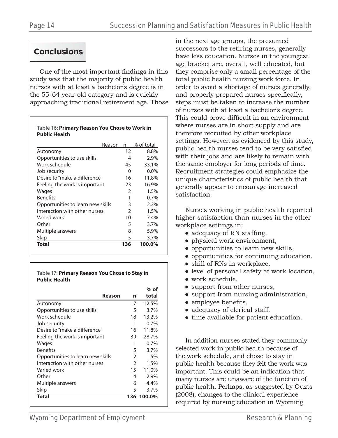### **Conclusions**

One of the most important findings in this study was that the majority of public health nurses with at least a bachelor's degree is in the 55-64 year-old category and is quickly approaching traditional retirement age. Those

**Table 16: Primary Reason You Chose to Work in** 

| Reason                            | n   | % of total |
|-----------------------------------|-----|------------|
| Autonomy                          | 12  | 8.8%       |
| Opportunities to use skills       | 4   | 2.9%       |
| Work schedule                     | 45  | 33.1%      |
| Job security                      | 0   | $0.0\%$    |
| Desire to "make a difference"     | 16  | 11.8%      |
| Feeling the work is important     | 23  | 16.9%      |
| Wages                             | 2   | 1.5%       |
| <b>Benefits</b>                   | 1   | $0.7\%$    |
| Opportunities to learn new skills | 3   | 2.2%       |
| Interaction with other nurses     | 2   | 1.5%       |
| Varied work                       | 10  | 7.4%       |
| Other                             | 5   | 3.7%       |
| Multiple answers                  | 8   | 5.9%       |
| Skip                              | 5   | 3.7%       |
| <b>Total</b>                      | 136 | 100.0%     |

**Table 17: Primary Reason You Chose to Stay in Public Health**

|                                   |                | $%$ of |
|-----------------------------------|----------------|--------|
| Reason                            | n              | total  |
| Autonomy                          | 17             | 12.5%  |
| Opportunities to use skills       | 5              | 3.7%   |
| Work schedule                     | 18             | 13.2%  |
| Job security                      | 1              | 0.7%   |
| Desire to "make a difference"     | 16             | 11.8%  |
| Feeling the work is important     | 39             | 28.7%  |
| Wages                             | 1              | 0.7%   |
| <b>Benefits</b>                   | 5              | 3.7%   |
| Opportunities to learn new skills | $\overline{2}$ | 1.5%   |
| Interaction with other nurses     | $\mathcal{P}$  | 1.5%   |
| Varied work                       | 15             | 11.0%  |
| Other                             | 4              | 2.9%   |
| Multiple answers                  | 6              | 4.4%   |
| Skip                              | 5              | 3.7%   |
| Total                             | 136            | 100.0% |

in the next age groups, the presumed successors to the retiring nurses, generally have less education. Nurses in the youngest age bracket are, overall, well educated, but they comprise only a small percentage of the total public health nursing work force. In order to avoid a shortage of nurses generally, and properly prepared nurses specifically, steps must be taken to increase the number of nurses with at least a bachelor's degree. This could prove difficult in an environment where nurses are in short supply and are therefore recruited by other workplace settings. However, as evidenced by this study, public health nurses tend to be very satisfied with their jobs and are likely to remain with the same employer for long periods of time. Recruitment strategies could emphasize the unique characteristics of public health that generally appear to encourage increased satisfaction.

Nurses working in public health reported higher satisfaction than nurses in the other workplace settings in:

- $\bullet$  adequacy of RN staffing,
- physical work environment,
- opportunities to learn new skills,
- opportunities for continuing education,
- skill of RNs in workplace,
- level of personal safety at work location,
- work schedule.
- support from other nurses,
- support from nursing administration,
- $\bullet$  employee benefits,
- adequacy of clerical staff,
- time available for patient education.

In addition nurses stated they commonly selected work in public health because of the work schedule, and chose to stay in public health because they felt the work was important. This could be an indication that many nurses are unaware of the function of public health. Perhaps, as suggested by Ouzts (2008), changes to the clinical experience required by nursing education in Wyoming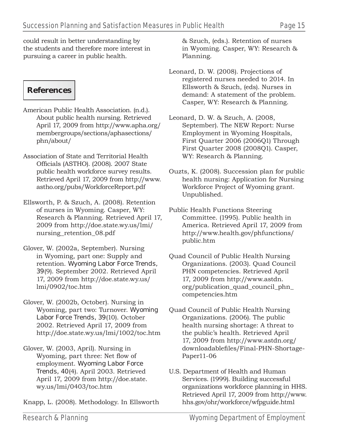could result in better understanding by the students and therefore more interest in pursuing a career in public health.

### **References**

- American Public Health Association. (n.d.). About public health nursing. Retrieved April 17, 2009 from http://www.apha.org/ membergroups/sections/aphasections/ phn/about/
- Association of State and Territorial Health Officials (ASTHO). (2008). 2007 State public health workforce survey results. Retrieved April 17, 2009 from http://www. astho.org/pubs/WorkforceReport.pdf
- Ellsworth, P. & Szuch, A. (2008). Retention of nurses in Wyoming. Casper, WY: Research & Planning. Retrieved April 17, 2009 from http://doe.state.wy.us/lmi/ nursing\_retention\_08.pdf
- Glover, W. (2002a, September). Nursing in Wyoming, part one: Supply and retention. *Wyoming Labor Force Trends, 39*(9). September 2002. Retrieved April 17, 2009 from http://doe.state.wy.us/ lmi/0902/toc.htm
- Glover, W. (2002b, October). Nursing in Wyoming, part two: Turnover. *Wyoming Labor Force Trends, 39*(10). October 2002. Retrieved April 17, 2009 from http://doe.state.wy.us/lmi/1002/toc.htm
- Glover, W. (2003, April). Nursing in Wyoming, part three: Net flow of employment. *Wyoming Labor Force Trends, 40*(4). April 2003. Retrieved April 17, 2009 from http://doe.state. wy.us/lmi/0403/toc.htm
- Knapp, L. (2008). Methodology. In Ellsworth

& Szuch, (eds.). Retention of nurses in Wyoming. Casper, WY: Research & Planning.

- Leonard, D. W. (2008). Projections of registered nurses needed to 2014. In Ellsworth & Szuch, (eds). Nurses in demand: A statement of the problem. Casper, WY: Research & Planning.
- Leonard, D. W. & Szuch, A. (2008, September). The NEW Report: Nurse Employment in Wyoming Hospitals, First Quarter 2006 (2006Q1) Through First Quarter 2008 (2008Q1). Casper, WY: Research & Planning.
- Ouzts, K. (2008). Succession plan for public health nursing: Application for Nursing Workforce Project of Wyoming grant. Unpublished.
- Public Health Functions Steering Committee. (1995). Public health in America. Retrieved April 17, 2009 from http://www.health.gov/phfunctions/ public.htm
- Quad Council of Public Health Nursing Organizations. (2003). Quad Council PHN competencies. Retrieved April 17, 2009 from http://www.astdn. org/publication\_quad\_council\_phn\_ competencies.htm
- Quad Council of Public Health Nursing Organizations. (2006). The public health nursing shortage: A threat to the public's health. Retrieved April 17, 2009 from http://www.astdn.org/ downloadablefiles/Final-PHN-Shortage-Paper11-06
- U.S. Department of Health and Human Services. (1999). Building successful organizations workforce planning in HHS. Retrieved April 17, 2009 from http://www. hhs.gov/ohr/workforce/wfpguide.html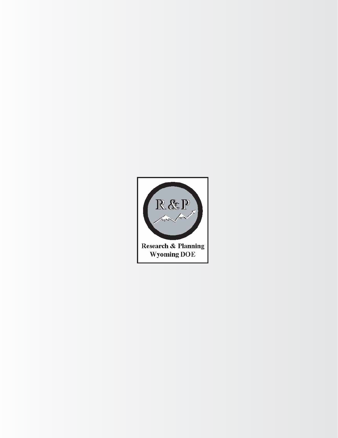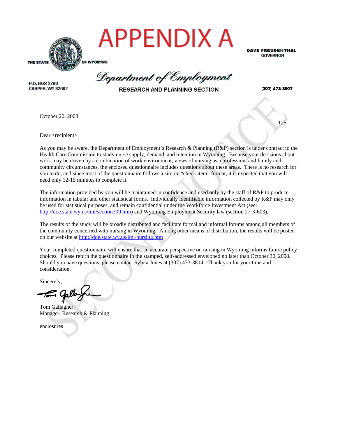

Department of Employment

<u>125</u>

P.O. BOX 2760 CASPER, WY 82602

RESEARCH AND PLANNING SECTION

(307) 473-3807

**DAVE FREUDENTHAL GOVERNOR** 

October 20, 2008

Dear <recipient>:

As you may be aware, the Department of Employment's Research & Planning (R&P) section is under contract to the Health Care Commission to study nurse supply, demand, and retention in Wyoming. Because your decisions about work may be driven by a combination of work environment, views of nursing as a profession, and family and community circumstances, the enclosed questionnaire includes questions about these areas. There is no research for you to do, and since most of the questionnaire follows a simple "check item" format, it is expected that you will need only 12-15 minutes to complete it.

The information provided by you will be maintained in confidence and used only by the staff of R&P to produce information in tabular and other statistical forms. Individually identifiable information collected by R&P may only be used for statistical purposes, and remain confidential under the Workforce Investment Act (see: http://doe.state.wy.us/lmi/section309.htm) and Wyoming Employment Security law (section 27-3-603).

The results of the study will be broadly distributed and facilitate formal and informal forums among all members of the community concerned with nursing in Wyoming. Among other means of distribution, the results will be posted on our website at http://doe.state.wy.us/lmi/nursing.htm

Your completed questionnaire will ensure that an accurate perspective on nursing in Wyoming informs future policy choices. Please return the questionnaire in the stamped, self-addressed enveloped no later than October 30, 2008. Should you have questions, please contact Sylvia Jones at (307) 473-3814. Thank you for your time and consideration.

Sincerely,

Tom Gallagher Manager, Research & Planning

enclosures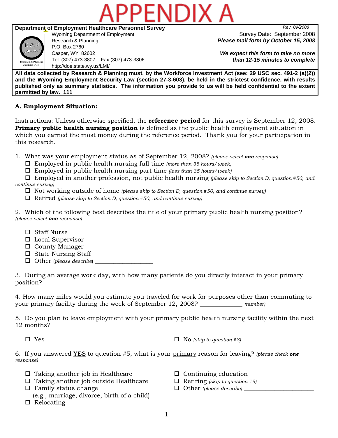

### **Department of Employment Healthcare Personnel Survey** *Rev. 09/2008*



P.O. Box 2760 Casper, WY 82602 Tel. (307) 473-3807 Fax (307) 473-3806 http://doe.state.wy.us/LMI/

Wyoming Department of Employment Survey Date: September 2008 Research & Planning *Please mail form by October 15, 2008*

> *We expect this form to take no more than 12-15 minutes to complete*

**All data collected by Research & Planning must, by the Workforce Investment Act (see: 29 USC sec. 491-2 (a)(2)) and the Wyoming Employment Security Law (section 27-3-603), be held in the strictest confidence, with results published only as summary statistics. The information you provide to us will be held confidential to the extent permitted by law. 111** 

### **A. Employment Situation:**

Instructions: Unless otherwise specified, the **reference period** for this survey is September 12, 2008. **Primary public health nursing position** is defined as the public health employment situation in which you earned the most money during the reference period. Thank you for your participation in this research.

- 1. What was your employment status as of September 12, 2008? *(please select one response)*
	- Employed in public health nursing full time *(more than 35 hours/week)*
	- Employed in public health nursing part time *(less than 35 hours/week)*

 Employed in another profession, not public health nursing *(please skip to Section D, question #50, and continue survey)* 

- Not working outside of home *(please skip to Section D, question #50, and continue survey)*
- Retired *(please skip to Section D, question #50, and continue survey)*

2. Which of the following best describes the title of your primary public health nursing position? *(please select one response)* 

- Staff Nurse
- □ Local Supervisor
- □ County Manager
- $\square$  State Nursing Staff
- $\Box$  Other (*please describe*)

3. During an average work day, with how many patients do you directly interact in your primary position? \_\_\_\_\_\_\_\_\_\_\_\_\_\_\_

4. How many miles would you estimate you traveled for work for purposes other than commuting to your primary facility during the week of September 12, 2008? \_\_\_\_\_\_\_\_\_\_\_\_\_\_ *(number)*

5. Do you plan to leave employment with your primary public health nursing facility within the next 12 months?

 $\Box$  Yes  $\Box$  Yes  $\Box$  No  $(skip\ to\ question\ #8)$ 

6. If you answered YES to question #5, what is your primary reason for leaving? *(please check one response)* 

- $\Box$  Taking another job in Healthcare  $\Box$  Continuing education
- Taking another job outside Healthcare Retiring *(skip to question #9)*
- □ Family status change  $\Box$  Other *(please describe)*
- (e.g., marriage, divorce, birth of a child)  $\Box$  Relocating
- 
- 
-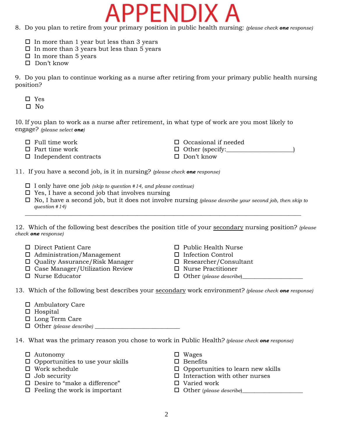8. Do you plan to retire from your primary position in public health nursing: *(please check one response)*

PPENDIX

- $\Box$  In more than 1 year but less than 3 years
- $\Box$  In more than 3 years but less than 5 years
- $\square$  In more than 5 years
- □ Don't know

9. Do you plan to continue working as a nurse after retiring from your primary public health nursing position?

- Yes
- $\square$  No

10. If you plan to work as a nurse after retirement, in what type of work are you most likely to engage? *(please select one)* 

- 
- $\Box$  Part time work  $\Box$  Other (specify:
- $\Box$  Independent contracts  $\Box$  Don't know
- Full time work Occasional if needed
	-
	-

11. If you have a second job, is it in nursing? *(please check one response)*

- I only have one job *(skip to question #14, and please continue)*
- $\square$  Yes, I have a second job that involves nursing
- No, I have a second job, but it does not involve nursing *(please describe your second job, then skip to question #14)*  $\overline{\phantom{a}}$  ,  $\overline{\phantom{a}}$  ,  $\overline{\phantom{a}}$  ,  $\overline{\phantom{a}}$  ,  $\overline{\phantom{a}}$  ,  $\overline{\phantom{a}}$  ,  $\overline{\phantom{a}}$  ,  $\overline{\phantom{a}}$  ,  $\overline{\phantom{a}}$  ,  $\overline{\phantom{a}}$  ,  $\overline{\phantom{a}}$  ,  $\overline{\phantom{a}}$  ,  $\overline{\phantom{a}}$  ,  $\overline{\phantom{a}}$  ,  $\overline{\phantom{a}}$  ,  $\overline{\phantom{a}}$

12. Which of the following best describes the position title of your secondary nursing position? *(please check one response)*

- 
- 
- <u>
 Administration/Management</u><br> **□** Administration/Management<br> **□** Infection Control<br> **□** Researcher/Consultant<br> **□** Researcher/Consultant  $\Box$  Quality Assurance/Risk Manager
- Case Manager/Utilization Review  $\Box$  Researcher/Consul<br>  $\Box$  Case Manager/Utilization Review  $\Box$  Nurse Practitioner
- 
- □ Direct Patient Care Public Health Nurse
	-
	-
	-
	- $\Box$  Other (*please describe*)

13. Which of the following best describes your secondary work environment? *(please check one response)*

- Ambulatory Care
- $\Box$  Hospital
- □ Long Term Care
- $\Box$  Other *(please describe)*

14. What was the primary reason you chose to work in Public Health? *(please check one response)*

- $\Box$  Autonomy  $\Box$  Wages
- $\Box$  Opportunities to use your skills  $\Box$  Benefits  $\Box$  Benefits  $\Box$  Opportu
- 
- 
- $\square$  Desire to "make a difference"  $\square$  Varied work
- □ Feeling the work is important Other (*please describe*)
- 
- 
- $\square$  Opportunities to learn new skills
- $\Box$  Job security  $\Box$  Interaction with other nurses
	-
	-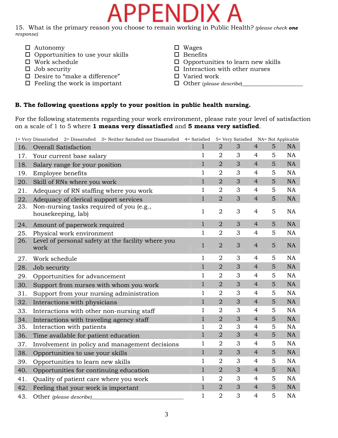# PENDI)

15. What is the primary reason you choose to remain working in Public Health? *(please check one response)*

- □ Autonomy □ Wages
- $\begin{array}{ccc}\n\square & \text{Opportunities to use your skills} \\
\square & \text{Work schedule} \\
\square & \text{Opportu}\n\end{array}$
- 
- 
- $\square$  Desire to "make a difference"  $\square$  Varied work
- □ Feeling the work is important Other (*please describe*)
- 
- 
- $\square$  Opportunities to learn new skills
- $\Box$  Job security  $\Box$  Interaction with other nurses
	-
	-

### **B. The following questions apply to your position in public health nursing.**

For the following statements regarding your work environment, please rate your level of satisfaction on a scale of 1 to 5 where **1 means very dissatisfied** and **5 means very satisfied**.

|     | 1= Very Dissatisfied 2= Dissatisfied 3= Neither Satisfied nor Dissatisfied 4= Satisfied |              |                | 5= Very Satisfied NA= Not Applicable |                |                |           |
|-----|-----------------------------------------------------------------------------------------|--------------|----------------|--------------------------------------|----------------|----------------|-----------|
| 16. | <b>Overall Satisfaction</b>                                                             | $\mathbf{1}$ | $\overline{2}$ | 3                                    | $\overline{4}$ | 5              | <b>NA</b> |
| 17. | Your current base salary                                                                | $\mathbf{1}$ | $\overline{2}$ | 3                                    | 4              | 5              | <b>NA</b> |
| 18. | Salary range for your position                                                          | $\mathbf{1}$ | $\overline{2}$ | 3                                    | $\overline{4}$ | 5              | <b>NA</b> |
| 19. | Employee benefits                                                                       | 1            | $\overline{2}$ | 3                                    | $\overline{4}$ | 5              | <b>NA</b> |
| 20. | Skill of RNs where you work                                                             | $\mathbf{1}$ | $\overline{2}$ | 3                                    | $\overline{4}$ | 5              | NA        |
| 21. | Adequacy of RN staffing where you work                                                  | $\mathbf{1}$ | $\overline{2}$ | 3                                    | $\overline{4}$ | 5              | NA        |
| 22. | Adequacy of clerical support services                                                   | $\mathbf{1}$ | $\overline{2}$ | 3                                    | $\overline{4}$ | 5              | NA        |
| 23. | Non-nursing tasks required of you (e.g.,<br>housekeeping, lab)                          | $\mathbf 1$  | $\overline{2}$ | 3                                    | 4              | 5              | <b>NA</b> |
| 24. | Amount of paperwork required                                                            | $\mathbf{1}$ | $\overline{2}$ | 3                                    | $\overline{4}$ | 5              | NA        |
| 25. | Physical work environment                                                               | 1            | $\overline{2}$ | 3                                    | 4              | 5              | <b>NA</b> |
| 26. | Level of personal safety at the facility where you<br>work                              | $\mathbf{1}$ | $\overline{2}$ | 3                                    | $\overline{4}$ | 5              | NA        |
| 27. | Work schedule                                                                           | 1            | $\overline{2}$ | 3                                    | 4              | 5              | <b>NA</b> |
| 28. | Job security                                                                            | $\mathbf{1}$ | $\overline{2}$ | 3                                    | $\overline{4}$ | 5              | NA        |
| 29. | Opportunities for advancement                                                           | 1            | $\overline{2}$ | 3                                    | 4              | 5              | <b>NA</b> |
| 30. | Support from nurses with whom you work                                                  | $\mathbf{1}$ | $\overline{2}$ | 3                                    | $\overline{4}$ | 5              | <b>NA</b> |
| 31. | Support from your nursing administration                                                | 1            | $\overline{2}$ | 3                                    | $\overline{4}$ | 5              | <b>NA</b> |
| 32. | Interactions with physicians                                                            | $\mathbf{1}$ | $\overline{2}$ | 3                                    | $\overline{4}$ | 5              | <b>NA</b> |
| 33. | Interactions with other non-nursing staff                                               | 1            | $\overline{2}$ | 3                                    | 4              | 5              | <b>NA</b> |
| 34. | Interactions with traveling agency staff                                                | $\mathbf{1}$ | $\overline{2}$ | 3                                    | $\overline{4}$ | 5              | NA        |
| 35. | Interaction with patients                                                               | $\mathbf{1}$ | $\overline{2}$ | 3                                    | $\overline{4}$ | 5              | <b>NA</b> |
| 36. | Time available for patient education                                                    | $\mathbf{1}$ | $\overline{2}$ | 3                                    | $\overline{4}$ | $\overline{5}$ | <b>NA</b> |
| 37. | Involvement in policy and management decisions                                          | $\mathbf{1}$ | $\overline{2}$ | 3                                    | $\overline{4}$ | 5              | <b>NA</b> |
| 38. | Opportunities to use your skills                                                        | $\mathbf{1}$ | $\overline{2}$ | 3                                    | $\overline{4}$ | 5              | NA        |
| 39. | Opportunities to learn new skills                                                       | $\mathbf{1}$ | $\overline{2}$ | 3                                    | 4              | 5              | <b>NA</b> |
| 40. | Opportunities for continuing education                                                  | $\mathbf{1}$ | $\overline{2}$ | 3                                    | $\overline{4}$ | 5              | <b>NA</b> |
| 41. | Quality of patient care where you work                                                  | $\mathbf{1}$ | $\overline{2}$ | 3                                    | $\overline{4}$ | 5              | NA        |
| 42. | Feeling that your work is important                                                     | $\mathbf{1}$ | $\overline{2}$ | 3                                    | $\overline{4}$ | 5              | NA        |
| 43. | Other (please describe)                                                                 | 1            | $\overline{2}$ | 3                                    | 4              | 5              | <b>NA</b> |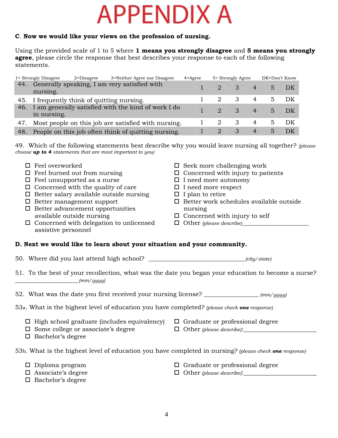# **APPENDIX A**

### **C**. **Now we would like your views on the profession of nursing.**

Using the provided scale of 1 to 5 where **1 means you strongly disagree** and **5 means you strongly agree**, please circle the response that best describes your response to each of the following statements.

|     | 1 = Strongly Disagree | $2$ =Disagree                               | 3=Neither Agree nor Disagree                            | $4 = \text{Agree}$ |               | 5 = Strongly Agree         |                                                                                                                        | DK=Don't Know  |                   |
|-----|-----------------------|---------------------------------------------|---------------------------------------------------------|--------------------|---------------|----------------------------|------------------------------------------------------------------------------------------------------------------------|----------------|-------------------|
| 44. | nursing.              |                                             | Generally speaking, I am very satisfied with            |                    | 2 3           |                            | $\begin{array}{\begin{array}{\small \begin{array}{\small \end{array}}{4}}\\{\small \end{array}}\\{\small \end{array}}$ |                | $5\quad\text{DK}$ |
|     |                       | 45. I frequently think of quitting nursing. |                                                         |                    |               | $\overline{\mathbf{3}}$    | $4 \qquad \qquad$                                                                                                      | 5              | DK                |
|     | in nursing.           |                                             | 46. I am generally satisfied with the kind of work I do |                    | $\mathcal{D}$ | $\overline{\phantom{a}}$ 3 | $\sim$ 4                                                                                                               | $5 -$          | – DK              |
| 47. |                       |                                             | Most people on this job are satisfied with nursing.     |                    |               | 3                          |                                                                                                                        | 4 5            | – DK              |
|     |                       |                                             | 48. People on this job often think of quitting nursing. |                    | 2             | 3                          | $\overline{4}$                                                                                                         | 5 <sup>1</sup> |                   |

49. Which of the following statements best describe why you would leave nursing all together? *(please choose up to 4 statements that are most important to you)*

| $\Box$ Feel overworked<br>$\Box$ Feel burned out from nursing<br>$\Box$ Feel unsupported as a nurse<br>$\Box$ Concerned with the quality of care<br>$\hfill \Box$ Better salary available outside nursing<br>$\Box$ Better management support<br>$\Box$ Better advancement opportunities<br>available outside nursing<br>$\Box$ Concerned with delegation to unlicensed<br>assistive personnel | $\square$ Seek more challenging work<br>$\Box$ Concerned with injury to patients<br>$\Box$ I need more autonomy<br>$\Box$ I need more respect<br>$\Box$ I plan to retire<br>$\Box$ Better work schedules available outside<br>nursing<br>$\square$ Concerned with injury to self |
|------------------------------------------------------------------------------------------------------------------------------------------------------------------------------------------------------------------------------------------------------------------------------------------------------------------------------------------------------------------------------------------------|----------------------------------------------------------------------------------------------------------------------------------------------------------------------------------------------------------------------------------------------------------------------------------|
| D. Next we would like to learn about your situation and your community.                                                                                                                                                                                                                                                                                                                        |                                                                                                                                                                                                                                                                                  |
|                                                                                                                                                                                                                                                                                                                                                                                                |                                                                                                                                                                                                                                                                                  |
| 51. To the best of your recollection, what was the date you began your education to become a nurse?<br>(mm/yyyy)                                                                                                                                                                                                                                                                               |                                                                                                                                                                                                                                                                                  |
| 52. What was the date you first received your nursing license? _________________ (mm/yyyy)                                                                                                                                                                                                                                                                                                     |                                                                                                                                                                                                                                                                                  |
| 53a. What is the highest level of education you have completed? (please check one response)                                                                                                                                                                                                                                                                                                    |                                                                                                                                                                                                                                                                                  |
| $\Box$ High school graduate (includes equivalency) $\Box$ Graduate or professional degree<br>$\square$ Some college or associate's degree<br>$\Box$ Bachelor's degree                                                                                                                                                                                                                          | $\Box$ Other (please describe): $\Box$                                                                                                                                                                                                                                           |
| 53b. What is the highest level of education you have completed in nursing? (please check one response)                                                                                                                                                                                                                                                                                         |                                                                                                                                                                                                                                                                                  |
| $\square$ Diploma program<br>$\Box$ Associate's degree<br>$\Box$ Bachelor's degree                                                                                                                                                                                                                                                                                                             | $\Box$ Graduate or professional degree                                                                                                                                                                                                                                           |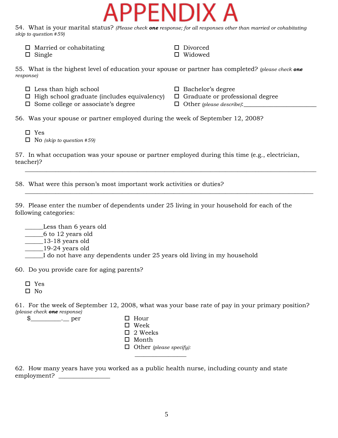# PENDIX

54. What is your marital status? *(Please check one response; for all responses other than married or cohabitating skip to question #59)* 

 $\Box$  Married or cohabitating  $\Box$  Divorced

 $\Box$  Single  $\Box$  Widowed

55. What is the highest level of education your spouse or partner has completed? *(please check one response)*

- 
- $\Box$  Less than high school<br> $\Box$  High school graduate (includes equivalency)  $\Box$  Graduate or professional degree  $\Box$  High school graduate (includes equivalency)
	-
- $\Box$  Some college or associate's degree  $\Box$  Other (please describe):
- 

56. Was your spouse or partner employed during the week of September 12, 2008?

- Yes
- No *(skip to question #59)*

57. In what occupation was your spouse or partner employed during this time (e.g., electrician, teacher)?

 $\overline{\phantom{a}}$  , and the contribution of the contribution of the contribution of the contribution of the contribution of the contribution of the contribution of the contribution of the contribution of the contribution of the

 $\overline{\phantom{a}}$  , and the contribution of the contribution of the contribution of the contribution of the contribution of the contribution of the contribution of the contribution of the contribution of the contribution of the

58. What were this person's most important work activities or duties?

59. Please enter the number of dependents under 25 living in your household for each of the following categories:

 \_\_\_\_\_\_Less than 6 years old  $\frac{2000 \text{ mm}}{6 \text{ to } 12 \text{ years}}$  $\frac{13-18 \text{ years old}}{2}$  \_\_\_\_\_\_19-24 years old \_\_\_\_\_\_I do not have any dependents under 25 years old living in my household

60. Do you provide care for aging parents?

\_\_\_\_\_\_\_\_\_\_\_\_\_\_\_\_\_

- Yes
- $\square$  No

61. For the week of September 12, 2008, what was your base rate of pay in your primary position? *(please check one response)* 

 $\quad \$   $\text{Per}$   $\Box$  Hour

- Week
- $\Box$  2 Weeks
- □ Month
- Other *(please specify):*

62. How many years have you worked as a public health nurse, including county and state employment? \_\_\_\_\_\_\_\_\_\_\_\_\_\_\_\_\_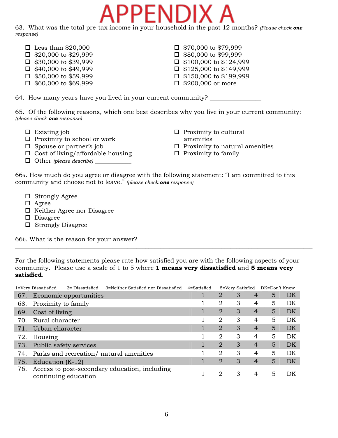

63. What was the total pre-tax income in your household in the past 12 months? *(Please check one response)* 

- $\Box$  Less than \$20,000  $\Box$  \$70,000 to \$79,999
- 
- 
- $\Box$  \$40,000 to \$49,999  $\Box$  \$125,000 to \$149,999
- $\Box$  \$50,000 to \$59,999  $\Box$  \$150,000 to \$199,999
- $\Box$  \$60,000 to \$69,999  $\Box$  \$200,000 or more
- $\Box$  \$20,000 to \$29,999<br> $\Box$  \$30,000 to \$39,999<br> $\Box$  \$100,000 to \$124,99  $\Box$  \$100,000 to \$124,999
	-

64. How many years have you lived in your current community?

65. Of the following reasons, which one best describes why you live in your current community: *(please check one response)*

- 
- Proximity to school or work amenities
- 
- $\Box$  Cost of living/affordable housing  $\Box$  Proximity to family
- Other *(please describe)* \_\_\_\_\_\_\_\_\_\_\_\_
- $\Box$  Existing job  $\Box$  Proximity to cultural
- $\Box$  Spouse or partner's job  $\Box$  Proximity to natural amenities
	-

66a. How much do you agree or disagree with the following statement: "I am committed to this community and choose not to leave." *(please check one response)*

- □ Strongly Agree
- Agree
- □ Neither Agree nor Disagree
- D Disagree
- $\square$  Strongly Disagree

66b. What is the reason for your answer?

For the following statements please rate how satisfied you are with the following aspects of your community. Please use a scale of 1 to 5 where **1 means very dissatisfied** and **5 means very satisfied**.

 $\_$  , and the set of the set of the set of the set of the set of the set of the set of the set of the set of the set of the set of the set of the set of the set of the set of the set of the set of the set of the set of th

|     | 1=Very Dissatisfied | 2 = Dissatisfied       | 3=Neither Satisfied nor Dissatisfied          | 4=Satisfied |                | 5=Very Satisfied |                | DK=Don't Know |    |
|-----|---------------------|------------------------|-----------------------------------------------|-------------|----------------|------------------|----------------|---------------|----|
| 67. |                     | Economic opportunities |                                               |             | $\overline{2}$ | 3                | $\overline{4}$ | 5             | DK |
| 68. | Proximity to family |                        |                                               |             | $\overline{2}$ | 3                | 4              | 5             | DK |
| 69. | Cost of living      |                        |                                               | 1           | $\overline{2}$ | 3                | $\overline{4}$ | 5             | DK |
| 70. | Rural character     |                        |                                               |             | 2              | 3                | 4              | 5             | DK |
| 71. | Urban character     |                        |                                               |             | $\overline{2}$ | 3                | $\overline{4}$ | 5             | DK |
| 72. | Housing             |                        |                                               |             | 2              | 3                | 4              | 5             | DK |
| 73. |                     | Public safety services |                                               |             | $\overline{2}$ | 3                | $\overline{4}$ | 5             | DK |
|     |                     |                        | 74. Parks and recreation/ natural amenities   |             | 2              | 3                | 4              | 5             | DK |
| 75. | Education $(K-12)$  |                        |                                               |             | $\overline{2}$ | 3                | $\overline{4}$ | 5             | DK |
| 76. |                     | continuing education   | Access to post-secondary education, including |             | 2              | 3                | 4              | 5             | DK |